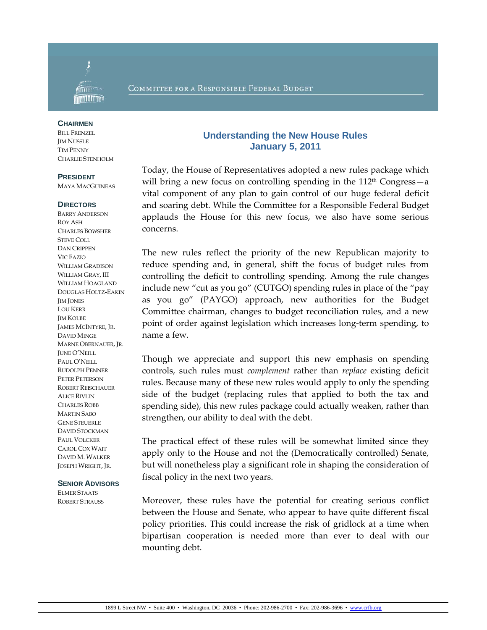

### COMMITTEE FOR A RESPONSIBLE FEDERAL BUDGET

#### **CHAIRMEN**

BILL FRENZEL **JIM NUSSLE** TIM PENNY CHARLIE STENHOLM

#### **PRESIDENT**

MAYA MACGUINEAS

#### **DIRECTORS**

BARRY ANDERSON ROY ASH CHARLES BOWSHER STEVE COLL DAN CRIPPEN VIC FAZIO WILLIAM GRADISON WILLIAM GRAY, III WILLIAM HOAGLAND DOUGLAS HOLTZ-EAKIN **IM JONES** LOU KERR JIM KOLBE JAMES MCINTYRE, JR. DAVID MINGE MARNE OBERNAUER, JR. JUNE O'NEILL PAUL O'NEILL RUDOLPH PENNER PETER PETERSON ROBERT REISCHAUER ALICE RIVLIN CHARLES ROBB MARTIN SABO GENE STEUERLE DAVID STOCKMAN PAUL VOLCKER CAROL COX WAIT DAVID M. WALKER JOSEPH WRIGHT, JR.

#### **SENIOR ADVISORS**

ELMER STAATS ROBERT STRAUSS

# **Understanding the New House Rules January 5, 2011**

Today, the House of Representatives adopted a new rules package which will bring a new focus on controlling spending in the  $112<sup>th</sup> Congress - a$ vital component of any plan to gain control of our huge federal deficit and soaring debt. While the Committee for a Responsible Federal Budget applauds the House for this new focus, we also have some serious concerns.

The new rules reflect the priority of the new Republican majority to reduce spending and, in general, shift the focus of budget rules from controlling the deficit to controlling spending. Among the rule changes include new "cut as you go" (CUTGO) spending rules in place of the "pay as you go" (PAYGO) approach, new authorities for the Budget Committee chairman, changes to budget reconciliation rules, and a new point of order against legislation which increases long‐term spending, to name a few.

Though we appreciate and support this new emphasis on spending controls, such rules must *complement* rather than *replace* existing deficit rules. Because many of these new rules would apply to only the spending side of the budget (replacing rules that applied to both the tax and spending side), this new rules package could actually weaken, rather than strengthen, our ability to deal with the debt.

The practical effect of these rules will be somewhat limited since they apply only to the House and not the (Democratically controlled) Senate, but will nonetheless play a significant role in shaping the consideration of fiscal policy in the next two years.

Moreover, these rules have the potential for creating serious conflict between the House and Senate, who appear to have quite different fiscal policy priorities. This could increase the risk of gridlock at a time when bipartisan cooperation is needed more than ever to deal with our mounting debt.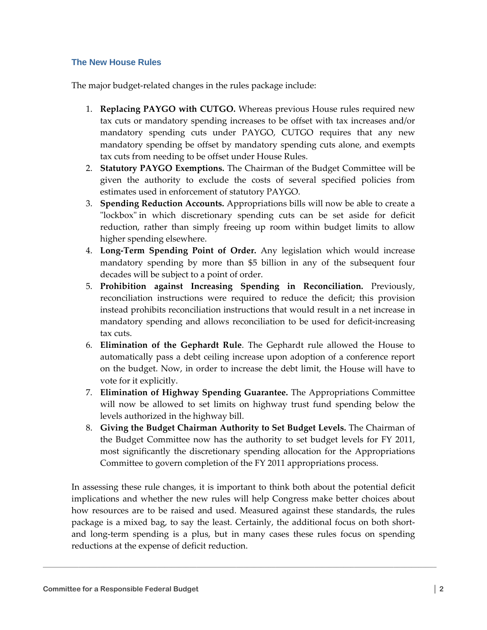# **The New House Rules**

The major budget-related changes in the rules package include:

- 1. **Replacing PAYGO with CUTGO.** Whereas previous House rules required new tax cuts or mandatory spending increases to be offset with tax increases and/or mandatory spending cuts under PAYGO, CUTGO requires that any new mandatory spending be offset by mandatory spending cuts alone, and exempts tax cuts from needing to be offset under House Rules.
- 2. **Statutory PAYGO Exemptions.** The Chairman of the Budget Committee will be given the authority to exclude the costs of several specified policies from estimates used in enforcement of statutory PAYGO.
- 3. **Spending Reduction Accounts.** Appropriations bills will now be able to create a "lockbox" in which discretionary spending cuts can be set aside for deficit reduction, rather than simply freeing up room within budget limits to allow higher spending elsewhere.
- 4. **Long‐Term Spending Point of Order.** Any legislation which would increase mandatory spending by more than \$5 billion in any of the subsequent four decades will be subject to a point of order.
- 5. **Prohibition against Increasing Spending in Reconciliation.** Previously, reconciliation instructions were required to reduce the deficit; this provision instead prohibits reconciliation instructions that would result in a net increase in mandatory spending and allows reconciliation to be used for deficit-increasing tax cuts.
- 6. **Elimination of the Gephardt Rule**. The Gephardt rule allowed the House to automatically pass a debt ceiling increase upon adoption of a conference report on the budget. Now, in order to increase the debt limit, the House will have to vote for it explicitly.
- 7. **Elimination of Highway Spending Guarantee.** The Appropriations Committee will now be allowed to set limits on highway trust fund spending below the levels authorized in the highway bill.
- 8. **Giving the Budget Chairman Authority to Set Budget Levels.** The Chairman of the Budget Committee now has the authority to set budget levels for FY 2011, most significantly the discretionary spending allocation for the Appropriations Committee to govern completion of the FY 2011 appropriations process.

In assessing these rule changes, it is important to think both about the potential deficit implications and whether the new rules will help Congress make better choices about how resources are to be raised and used. Measured against these standards, the rules package is a mixed bag, to say the least. Certainly, the additional focus on both short‐ and long‐term spending is a plus, but in many cases these rules focus on spending reductions at the expense of deficit reduction.

**\_\_\_\_\_\_\_\_\_\_\_\_\_\_\_\_\_\_\_\_\_\_\_\_\_\_\_\_\_\_\_\_\_\_\_\_\_\_\_\_\_\_\_\_\_\_\_\_\_\_\_\_\_\_\_\_\_\_\_\_\_\_\_\_\_\_\_\_\_\_\_\_\_\_\_\_\_\_\_\_\_\_\_\_\_\_\_\_\_\_\_\_\_\_\_\_\_\_\_\_\_\_\_\_\_\_\_\_\_\_**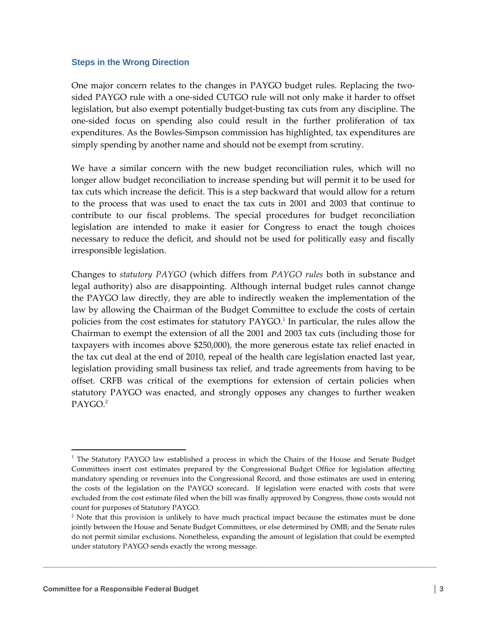### **Steps in the Wrong Direction**

One major concern relates to the changes in PAYGO budget rules. Replacing the twosided PAYGO rule with a one‐sided CUTGO rule will not only make it harder to offset legislation, but also exempt potentially budget‐busting tax cuts from any discipline. The one‐sided focus on spending also could result in the further proliferation of tax expenditures. As the Bowles‐Simpson commission has highlighted, tax expenditures are simply spending by another name and should not be exempt from scrutiny.

We have a similar concern with the new budget reconciliation rules, which will no longer allow budget reconciliation to increase spending but will permit it to be used for tax cuts which increase the deficit. This is a step backward that would allow for a return to the process that was used to enact the tax cuts in 2001 and 2003 that continue to contribute to our fiscal problems. The special procedures for budget reconciliation legislation are intended to make it easier for Congress to enact the tough choices necessary to reduce the deficit, and should not be used for politically easy and fiscally irresponsible legislation.

Changes to *statutory PAYGO* (which differs from *PAYGO rules* both in substance and legal authority) also are disappointing. Although internal budget rules cannot change the PAYGO law directly, they are able to indirectly weaken the implementation of the law by allowing the Chairman of the Budget Committee to exclude the costs of certain policies from the cost estimates for statutory PAYGO.<sup>1</sup> In particular, the rules allow the Chairman to exempt the extension of all the 2001 and 2003 tax cuts (including those for taxpayers with incomes above \$250,000), the more generous estate tax relief enacted in the tax cut deal at the end of 2010, repeal of the health care legislation enacted last year, legislation providing small business tax relief, and trade agreements from having to be offset. CRFB was critical of the exemptions for extension of certain policies when statutory PAYGO was enacted, and strongly opposes any changes to further weaken PAYGO.<sup>2</sup>

**\_\_\_\_\_\_\_\_\_\_\_\_\_\_\_\_\_\_\_\_\_\_\_\_\_\_\_\_\_\_\_\_\_\_\_\_\_\_\_\_\_\_\_\_\_\_\_\_\_\_\_\_\_\_\_\_\_\_\_\_\_\_\_\_\_\_\_\_\_\_\_\_\_\_\_\_\_\_\_\_\_\_\_\_\_\_\_\_\_\_\_\_\_\_\_\_\_\_\_\_\_\_\_\_\_\_\_\_\_\_** 

 $\overline{a}$ 

 $<sup>1</sup>$  The Statutory PAYGO law established a process in which the Chairs of the House and Senate Budget</sup> Committees insert cost estimates prepared by the Congressional Budget Office for legislation affecting mandatory spending or revenues into the Congressional Record, and those estimates are used in entering the costs of the legislation on the PAYGO scorecard. If legislation were enacted with costs that were excluded from the cost estimate filed when the bill was finally approved by Congress, those costs would not count for purposes of Statutory PAYGO.

<sup>&</sup>lt;sup>2</sup> Note that this provision is unlikely to have much practical impact because the estimates must be done jointly between the House and Senate Budget Committees, or else determined by OMB; and the Senate rules do not permit similar exclusions. Nonetheless, expanding the amount of legislation that could be exempted under statutory PAYGO sends exactly the wrong message.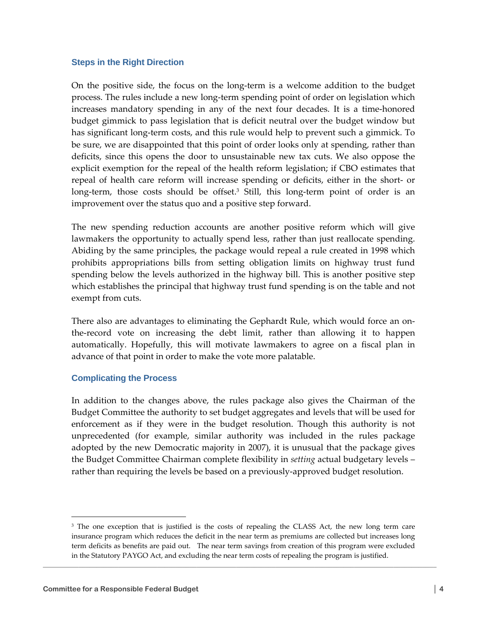### **Steps in the Right Direction**

On the positive side, the focus on the long‐term is a welcome addition to the budget process. The rules include a new long‐term spending point of order on legislation which increases mandatory spending in any of the next four decades. It is a time-honored budget gimmick to pass legislation that is deficit neutral over the budget window but has significant long‐term costs, and this rule would help to prevent such a gimmick. To be sure, we are disappointed that this point of order looks only at spending, rather than deficits, since this opens the door to unsustainable new tax cuts. We also oppose the explicit exemption for the repeal of the health reform legislation; if CBO estimates that repeal of health care reform will increase spending or deficits, either in the short‐ or long-term, those costs should be offset.<sup>3</sup> Still, this long-term point of order is an improvement over the status quo and a positive step forward.

The new spending reduction accounts are another positive reform which will give lawmakers the opportunity to actually spend less, rather than just reallocate spending. Abiding by the same principles, the package would repeal a rule created in 1998 which prohibits appropriations bills from setting obligation limits on highway trust fund spending below the levels authorized in the highway bill. This is another positive step which establishes the principal that highway trust fund spending is on the table and not exempt from cuts.

There also are advantages to eliminating the Gephardt Rule, which would force an on‐ the‐record vote on increasing the debt limit, rather than allowing it to happen automatically. Hopefully, this will motivate lawmakers to agree on a fiscal plan in advance of that point in order to make the vote more palatable.

# **Complicating the Process**

In addition to the changes above, the rules package also gives the Chairman of the Budget Committee the authority to set budget aggregates and levels that will be used for enforcement as if they were in the budget resolution. Though this authority is not unprecedented (for example, similar authority was included in the rules package adopted by the new Democratic majority in 2007), it is unusual that the package gives the Budget Committee Chairman complete flexibility in *setting* actual budgetary levels – rather than requiring the levels be based on a previously‐approved budget resolution.

**\_\_\_\_\_\_\_\_\_\_\_\_\_\_\_\_\_\_\_\_\_\_\_\_\_\_\_\_\_\_\_\_\_\_\_\_\_\_\_\_\_\_\_\_\_\_\_\_\_\_\_\_\_\_\_\_\_\_\_\_\_\_\_\_\_\_\_\_\_\_\_\_\_\_\_\_\_\_\_\_\_\_\_\_\_\_\_\_\_\_\_\_\_\_\_\_\_\_\_\_\_\_\_\_\_\_\_\_\_\_** 

 $\overline{a}$ 

<sup>&</sup>lt;sup>3</sup> The one exception that is justified is the costs of repealing the CLASS Act, the new long term care insurance program which reduces the deficit in the near term as premiums are collected but increases long term deficits as benefits are paid out. The near term savings from creation of this program were excluded in the Statutory PAYGO Act, and excluding the near term costs of repealing the program is justified.